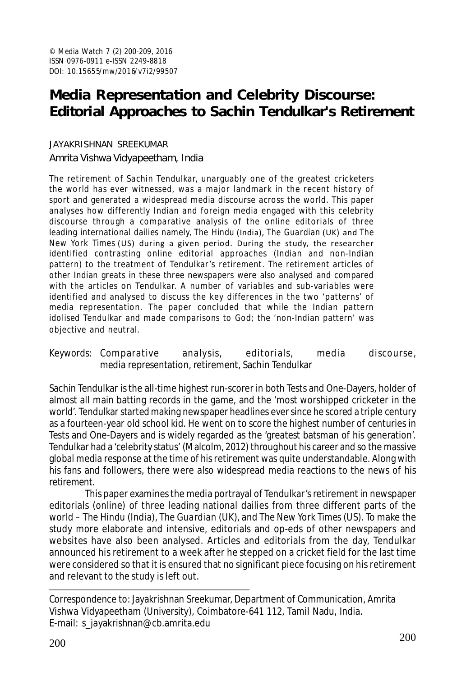# **Media Representation and Celebrity Discourse: Editorial Approaches to Sachin Tendulkar's Retirement**

JAYAKRISHNAN SREEKUMAR Amrita Vishwa Vidyapeetham, India

The retirement of Sachin Tendulkar, unarguably one of the greatest cricketers the world has ever witnessed, was a major landmark in the recent history of sport and generated a widespread media discourse across the world. This paper analyses how differently Indian and foreign media engaged with this celebrity discourse through a comparative analysis of the online editorials of three leading international dailies namely, *The Hindu* (India), *The Guardian* (UK) and *The New York Times* (US) during a given period. During the study, the researcher identified contrasting online editorial approaches (Indian and non-Indian pattern) to the treatment of Tendulkar's retirement. The retirement articles of other Indian greats in these three newspapers were also analysed and compared with the articles on Tendulkar. A number of variables and sub-variables were identified and analysed to discuss the key differences in the two 'patterns' of media representation. The paper concluded that while the Indian pattern idolised Tendulkar and made comparisons to God; the 'non-Indian pattern' was objective and neutral.

Keywords: Comparative analysis, editorials, media discourse, media representation, retirement, Sachin Tendulkar

Sachin Tendulkar is the all-time highest run-scorer in both Tests and One-Dayers, holder of almost all main batting records in the game, and the 'most worshipped cricketer in the world'. Tendulkar started making newspaper headlines ever since he scored a triple century as a fourteen-year old school kid. He went on to score the highest number of centuries in Tests and One-Dayers and is widely regarded as the 'greatest batsman of his generation'. Tendulkar had a 'celebrity status' (Malcolm, 2012) throughout his career and so the massive global media response at the time of his retirement was quite understandable. Along with his fans and followers, there were also widespread media reactions to the news of his retirement.

This paper examines the media portrayal of Tendulkar's retirement in newspaper editorials (online) of three leading national dailies from three different parts of the world – *The Hindu* (India), *The Guardian* (UK), and *The New York Times* (US). To make the study more elaborate and intensive, editorials and op-eds of other newspapers and websites have also been analysed. Articles and editorials from the day, Tendulkar announced his retirement to a week after he stepped on a cricket field for the last time were considered so that it is ensured that no significant piece focusing on his retirement and relevant to the study is left out.

Correspondence to: Jayakrishnan Sreekumar, Department of Communication, Amrita Vishwa Vidyapeetham (University), Coimbatore-641 112, Tamil Nadu, India. E-mail: s\_jayakrishnan@cb.amrita.edu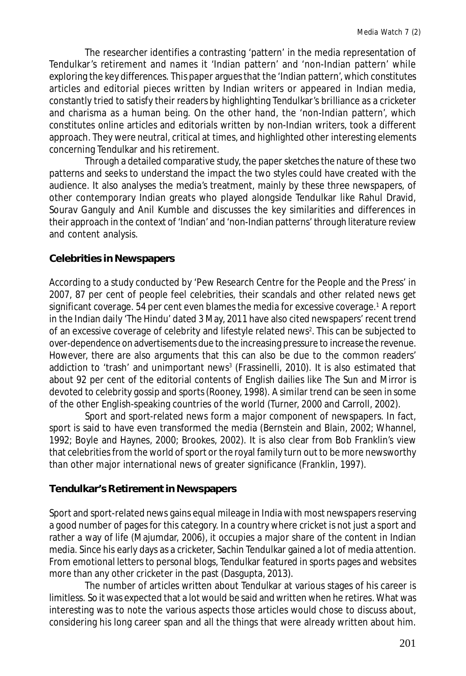The researcher identifies a contrasting 'pattern' in the media representation of Tendulkar's retirement and names it 'Indian pattern' and 'non-Indian pattern' while exploring the key differences. This paper argues that the 'Indian pattern', which constitutes articles and editorial pieces written by Indian writers or appeared in Indian media, constantly tried to satisfy their readers by highlighting Tendulkar's brilliance as a cricketer and charisma as a human being. On the other hand, the 'non-Indian pattern', which constitutes online articles and editorials written by non-Indian writers, took a different approach. They were neutral, critical at times, and highlighted other interesting elements concerning Tendulkar and his retirement.

Through a detailed comparative study, the paper sketches the nature of these two patterns and seeks to understand the impact the two styles could have created with the audience. It also analyses the media's treatment, mainly by these three newspapers, of other contemporary Indian greats who played alongside Tendulkar like Rahul Dravid, Sourav Ganguly and Anil Kumble and discusses the key similarities and differences in their approach in the context of 'Indian' and 'non-Indian patterns' through literature review and content analysis.

### **Celebrities in Newspapers**

According to a study conducted by 'Pew Research Centre for the People and the Press' in 2007, 87 per cent of people feel celebrities, their scandals and other related news get significant coverage. 54 per cent even blames the media for excessive coverage.<sup>1</sup>A report in the Indian daily '*The Hindu*' dated 3 May, 2011 have also cited newspapers' recent trend of an excessive coverage of celebrity and lifestyle related news<sup>2</sup>. This can be subjected to over-dependence on advertisements due to the increasing pressure to increase the revenue. However, there are also arguments that this can also be due to the common readers' addiction to 'trash' and unimportant news<sup>3</sup> (Frassinelli, 2010). It is also estimated that about 92 per cent of the editorial contents of English dailies like *The Sun* and *Mirror* is devoted to celebrity gossip and sports (Rooney, 1998). A similar trend can be seen in some of the other English-speaking countries of the world (Turner, 2000 and Carroll, 2002).

Sport and sport-related news form a major component of newspapers. In fact, sport is said to have even transformed the media (Bernstein and Blain, 2002; Whannel, 1992; Boyle and Haynes, 2000; Brookes, 2002). It is also clear from Bob Franklin's view that celebrities from the world of sport or the royal family turn out to be more newsworthy than other major international news of greater significance (Franklin, 1997).

# **Tendulkar's Retirement in Newspapers**

Sport and sport-related news gains equal mileage in India with most newspapers reserving a good number of pages for this category. In a country where cricket is not just a sport and rather a way of life (Majumdar, 2006), it occupies a major share of the content in Indian media. Since his early days as a cricketer, Sachin Tendulkar gained a lot of media attention. From emotional letters to personal blogs, Tendulkar featured in sports pages and websites more than any other cricketer in the past (Dasgupta, 2013).

The number of articles written about Tendulkar at various stages of his career is limitless. So it was expected that a lot would be said and written when he retires. What was interesting was to note the various aspects those articles would chose to discuss about, considering his long career span and all the things that were already written about him.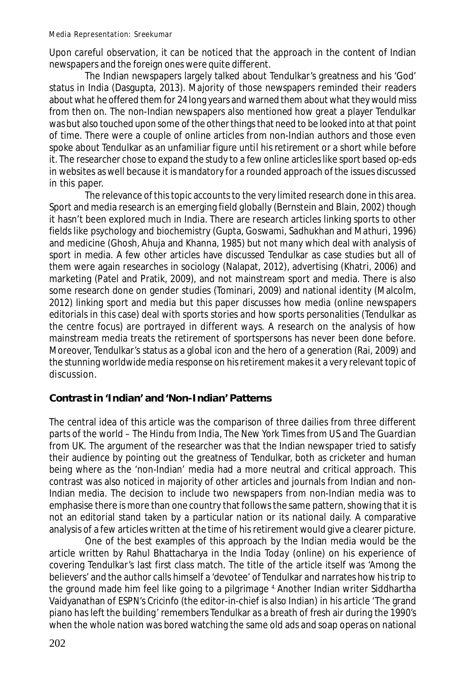Upon careful observation, it can be noticed that the approach in the content of Indian newspapers and the foreign ones were quite different.

The Indian newspapers largely talked about Tendulkar's greatness and his 'God' status in India (Dasgupta, 2013). Majority of those newspapers reminded their readers about what he offered them for 24 long years and warned them about what they would miss from then on. The non-Indian newspapers also mentioned how great a player Tendulkar was but also touched upon some of the other things that need to be looked into at that point of time. There were a couple of online articles from non-Indian authors and those even spoke about Tendulkar as an unfamiliar figure until his retirement or a short while before it. The researcher chose to expand the study to a few online articles like sport based op-eds in websites as well because it is mandatory for a rounded approach of the issues discussed in this paper.

The relevance of this topic accounts to the very limited research done in this area. Sport and media research is an emerging field globally (Bernstein and Blain, 2002) though it hasn't been explored much in India. There are research articles linking sports to other fields like psychology and biochemistry (Gupta, Goswami, Sadhukhan and Mathuri, 1996) and medicine (Ghosh, Ahuja and Khanna, 1985) but not many which deal with analysis of sport in media. A few other articles have discussed Tendulkar as case studies but all of them were again researches in sociology (Nalapat, 2012), advertising (Khatri, 2006) and marketing (Patel and Pratik, 2009), and not mainstream sport and media. There is also some research done on gender studies (Tominari, 2009) and national identity (Malcolm, 2012) linking sport and media but this paper discusses how media (online newspapers editorials in this case) deal with sports stories and how sports personalities (Tendulkar as the centre focus) are portrayed in different ways. A research on the analysis of how mainstream media treats the retirement of sportspersons has never been done before. Moreover, Tendulkar's status as a global icon and the hero of a generation (Rai, 2009) and the stunning worldwide media response on his retirement makes it a very relevant topic of discussion.

# **Contrast in 'Indian' and 'Non-Indian' Patterns**

The central idea of this article was the comparison of three dailies from three different parts of the world – *The Hindu* from India, *The New York Times* from US and *The Guardian* from UK. The argument of the researcher was that the Indian newspaper tried to satisfy their audience by pointing out the greatness of Tendulkar, both as cricketer and human being where as the 'non-Indian' media had a more neutral and critical approach. This contrast was also noticed in majority of other articles and journals from Indian and non-Indian media. The decision to include two newspapers from non-Indian media was to emphasise there is more than one country that follows the same pattern, showing that it is not an editorial stand taken by a particular nation or its national daily. A comparative analysis of a few articles written at the time of his retirement would give a clearer picture.

One of the best examples of this approach by the Indian media would be the article written by Rahul Bhattacharya in the *India Today* (online) on his experience of covering Tendulkar's last first class match. The title of the article itself was 'Among the believers' and the author calls himself a 'devotee' of Tendulkar and narrates how his trip to the ground made him feel like going to a pilgrimage 4. Another Indian writer Siddhartha Vaidyanathan of *ESPN's Cricinfo* (the editor-in-chief is also Indian) in his article 'The grand piano has left the building' remembers Tendulkar as a breath of fresh air during the 1990's when the whole nation was bored watching the same old ads and soap operas on national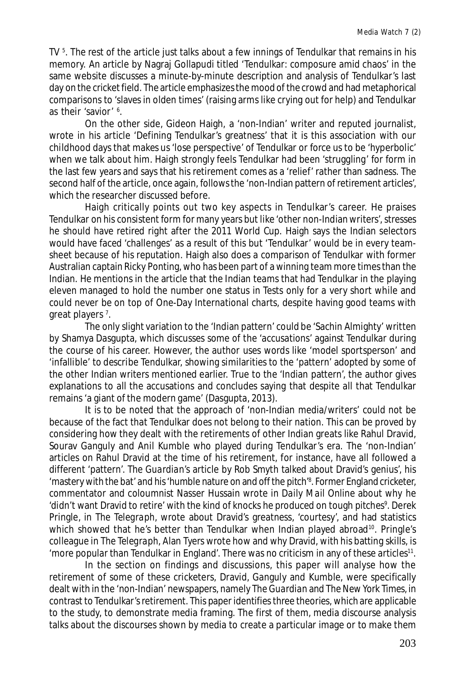TV <sup>5</sup>. The rest of the article just talks about a few innings of Tendulkar that remains in his memory. An article by Nagraj Gollapudi titled 'Tendulkar: composure amid chaos' in the same website discusses a minute-by-minute description and analysis of Tendulkar's last day on the cricket field. The article emphasizes the mood of the crowd and had metaphorical comparisons to 'slaves in olden times' (raising arms like crying out for help) and Tendulkar as their 'savior' <sup>6</sup>.

On the other side, Gideon Haigh, a 'non-Indian' writer and reputed journalist, wrote in his article 'Defining Tendulkar's greatness' that it is this association with our childhood days that makes us 'lose perspective' of Tendulkar or force us to be 'hyperbolic' when we talk about him. Haigh strongly feels Tendulkar had been 'struggling' for form in the last few years and says that his retirement comes as a 'relief' rather than sadness. The second half of the article, once again, follows the 'non-Indian pattern of retirement articles', which the researcher discussed before.

Haigh critically points out two key aspects in Tendulkar's career. He praises Tendulkar on his consistent form for many years but like 'other non-Indian writers', stresses he should have retired right after the 2011 World Cup. Haigh says the Indian selectors would have faced 'challenges' as a result of this but 'Tendulkar' would be in every teamsheet because of his reputation. Haigh also does a comparison of Tendulkar with former Australian captain Ricky Ponting, who has been part of a winning team more times than the Indian. He mentions in the article that the Indian teams that had Tendulkar in the playing eleven managed to hold the number one status in Tests only for a very short while and could never be on top of One-Day International charts, despite having good teams with great players <sup>7</sup>.

The only slight variation to the 'Indian pattern' could be 'Sachin Almighty' written by Shamya Dasgupta, which discusses some of the 'accusations' against Tendulkar during the course of his career. However, the author uses words like 'model sportsperson' and 'infallible' to describe Tendulkar, showing similarities to the 'pattern' adopted by some of the other Indian writers mentioned earlier. True to the 'Indian pattern', the author gives explanations to all the accusations and concludes saying that despite all that Tendulkar remains 'a giant of the modern game' (Dasgupta, 2013).

It is to be noted that the approach of 'non-Indian media/writers' could not be because of the fact that Tendulkar does not belong to their nation. This can be proved by considering how they dealt with the retirements of other Indian greats like Rahul Dravid, Sourav Ganguly and Anil Kumble who played during Tendulkar's era. The 'non-Indian' articles on Rahul Dravid at the time of his retirement, for instance, have all followed a different 'pattern'. *The Guardian*'s article by Rob Smyth talked about Dravid's genius', his 'mastery with the bat' and his 'humble nature on and off the pitch'<sup>8</sup> . Former England cricketer, commentator and coloumnist Nasser Hussain wrote in *Daily Mail Online* about why he 'didn't want Dravid to retire' with the kind of knocks he produced on tough pitches<sup>9</sup>. Derek Pringle, in *The Telegraph*, wrote about Dravid's greatness, 'courtesy', and had statistics which showed that he's better than Tendulkar when Indian played abroad<sup>10</sup>. Pringle's colleague in *The Telegraph*, Alan Tyers wrote how and why Dravid, with his batting skills, is 'more popular than Tendulkar in England'. There was no criticism in any of these articles<sup>11</sup>.

In the section on findings and discussions, this paper will analyse how the retirement of some of these cricketers, Dravid, Ganguly and Kumble, were specifically dealt with in the 'non-Indian' newspapers, namely *The Guardian* and *The New York Times,* in contrast to Tendulkar's retirement. This paper identifies three theories, which are applicable to the study, to demonstrate media framing. The first of them, media discourse analysis talks about the discourses shown by media to create a particular image or to make them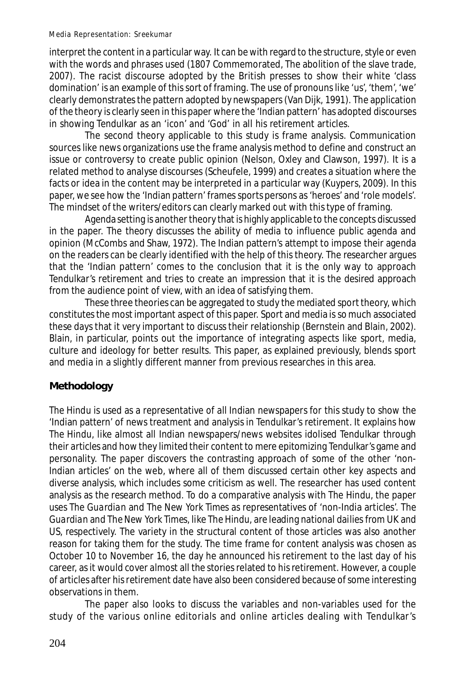Media Representation: Sreekumar

interpret the content in a particular way. It can be with regard to the structure, style or even with the words and phrases used (1807 Commemorated, The abolition of the slave trade, 2007). The racist discourse adopted by the British presses to show their white 'class domination' is an example of this sort of framing. The use of pronouns like 'us', 'them', 'we' clearly demonstrates the pattern adopted by newspapers (Van Dijk, 1991). The application of the theory is clearly seen in this paper where the 'Indian pattern' has adopted discourses in showing Tendulkar as an 'icon' and 'God' in all his retirement articles.

The second theory applicable to this study is frame analysis. Communication sources like news organizations use the frame analysis method to define and construct an issue or controversy to create public opinion (Nelson, Oxley and Clawson, 1997). It is a related method to analyse discourses (Scheufele, 1999) and creates a situation where the facts or idea in the content may be interpreted in a particular way (Kuypers, 2009). In this paper, we see how the 'Indian pattern' frames sports persons as 'heroes' and 'role models'. The mindset of the writers/editors can clearly marked out with this type of framing.

Agenda setting is another theory that is highly applicable to the concepts discussed in the paper. The theory discusses the ability of media to influence public agenda and opinion (McCombs and Shaw, 1972). The Indian pattern's attempt to impose their agenda on the readers can be clearly identified with the help of this theory. The researcher argues that the 'Indian pattern' comes to the conclusion that it is the only way to approach Tendulkar's retirement and tries to create an impression that it is the desired approach from the audience point of view, with an idea of satisfying them.

These three theories can be aggregated to study the mediated sport theory, which constitutes the most important aspect of this paper. Sport and media is so much associated these days that it very important to discuss their relationship (Bernstein and Blain, 2002). Blain, in particular, points out the importance of integrating aspects like sport, media, culture and ideology for better results. This paper, as explained previously, blends sport and media in a slightly different manner from previous researches in this area.

# **Methodology**

*The Hindu* is used as a representative of all Indian newspapers for this study to show the 'Indian pattern' of news treatment and analysis in Tendulkar's retirement. It explains how *The Hindu*, like almost all Indian newspapers/news websites idolised Tendulkar through their articles and how they limited their content to mere epitomizing Tendulkar's game and personality. The paper discovers the contrasting approach of some of the other 'non-Indian articles' on the web, where all of them discussed certain other key aspects and diverse analysis, which includes some criticism as well. The researcher has used content analysis as the research method. To do a comparative analysis with *The Hindu*, the paper uses *The Guardian* and *The New York Times* as representatives of 'non-India articles'. *The Guardian* and *The New York Times*, like *The Hindu*, are leading national dailies from UK and US, respectively. The variety in the structural content of those articles was also another reason for taking them for the study. The time frame for content analysis was chosen as October 10 to November 16, the day he announced his retirement to the last day of his career, as it would cover almost all the stories related to his retirement. However, a couple of articles after his retirement date have also been considered because of some interesting observations in them.

The paper also looks to discuss the variables and non-variables used for the study of the various online editorials and online articles dealing with Tendulkar's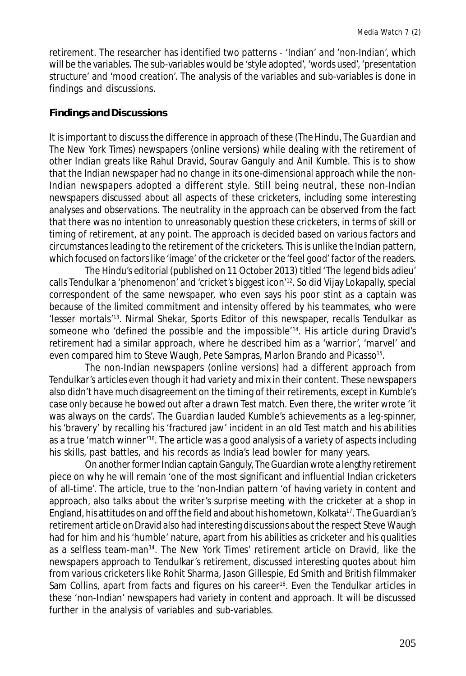retirement. The researcher has identified two patterns - 'Indian' and 'non-Indian', which will be the variables. The sub-variables would be 'style adopted', 'words used', 'presentation structure' and 'mood creation'. The analysis of the variables and sub-variables is done in findings and discussions.

#### **Findings and Discussions**

It is important to discuss the difference in approach of these (*The Hindu*, *The Guardian* and *The New York Times*) newspapers (online versions) while dealing with the retirement of other Indian greats like Rahul Dravid, Sourav Ganguly and Anil Kumble. This is to show that the Indian newspaper had no change in its one-dimensional approach while the non-Indian newspapers adopted a different style. Still being neutral, these non-Indian newspapers discussed about all aspects of these cricketers, including some interesting analyses and observations. The neutrality in the approach can be observed from the fact that there was no intention to unreasonably question these cricketers, in terms of skill or timing of retirement, at any point. The approach is decided based on various factors and circumstances leading to the retirement of the cricketers. This is unlike the Indian pattern, which focused on factors like 'image' of the cricketer or the 'feel good' factor of the readers.

*The Hindu*'s editorial (published on 11 October 2013) titled 'The legend bids adieu' calls Tendulkar a 'phenomenon' and 'cricket's biggest icon'<sup>12</sup>. So did Vijay Lokapally, special correspondent of the same newspaper, who even says his poor stint as a captain was because of the limited commitment and intensity offered by his teammates, who were 'lesser mortals'<sup>13</sup>. Nirmal Shekar, Sports Editor of this newspaper, recalls Tendulkar as someone who 'defined the possible and the impossible<sup>'14</sup>. His article during Dravid's retirement had a similar approach, where he described him as a 'warrior', 'marvel' and even compared him to Steve Waugh, Pete Sampras, Marlon Brando and Picasso<sup>15</sup>.

The non-Indian newspapers (online versions) had a different approach from Tendulkar's articles even though it had variety and mix in their content. These newspapers also didn't have much disagreement on the timing of their retirements, except in Kumble's case only because he bowed out after a drawn Test match. Even there, the writer wrote 'it was always on the cards'. *The Guardian* lauded Kumble's achievements as a leg-spinner, his 'bravery' by recalling his 'fractured jaw' incident in an old Test match and his abilities as a true 'match winner'<sup>16</sup>. The article was a good analysis of a variety of aspects including his skills, past battles, and his records as India's lead bowler for many years.

On another former Indian captain Ganguly, *The Guardian* wrote a lengthy retirement piece on why he will remain 'one of the most significant and influential Indian cricketers of all-time'. The article, true to the 'non-Indian pattern 'of having variety in content and approach, also talks about the writer's surprise meeting with the cricketer at a shop in England, his attitudes on and off the field and about his hometown, Kolkata<sup>17</sup> . *The Guardian*'s retirement article on Dravid also had interesting discussions about the respect Steve Waugh had for him and his 'humble' nature, apart from his abilities as cricketer and his qualities as a selfless team-man<sup>14</sup> . *The New York Times*' retirement article on Dravid, like the newspapers approach to Tendulkar's retirement, discussed interesting quotes about him from various cricketers like Rohit Sharma, Jason Gillespie, Ed Smith and British filmmaker Sam Collins, apart from facts and figures on his career<sup>18</sup>. Even the Tendulkar articles in these 'non-Indian' newspapers had variety in content and approach. It will be discussed further in the analysis of variables and sub-variables.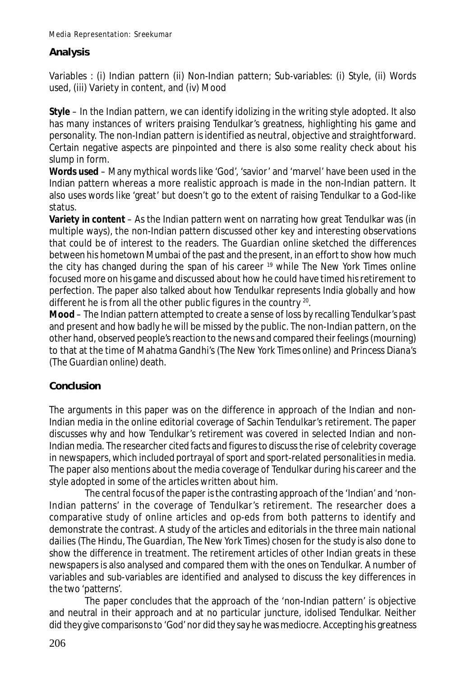# **Analysis**

Variables : (i) Indian pattern (ii) Non-Indian pattern; Sub-variables: (i) Style, (ii) Words used, (iii) Variety in content, and (iv) Mood

**Style** – In the Indian pattern, we can identify idolizing in the writing style adopted. It also has many instances of writers praising Tendulkar's greatness, highlighting his game and personality. The non-Indian pattern is identified as neutral, objective and straightforward. Certain negative aspects are pinpointed and there is also some reality check about his slump in form.

**Words used** – Many mythical words like 'God', 'savior' and 'marvel' have been used in the Indian pattern whereas a more realistic approach is made in the non-Indian pattern. It also uses words like 'great' but doesn't go to the extent of raising Tendulkar to a God-like status.

**Variety in content** – As the Indian pattern went on narrating how great Tendulkar was (in multiple ways), the non-Indian pattern discussed other key and interesting observations that could be of interest to the readers. *The Guardian* online sketched the differences between his hometown Mumbai of the past and the present, in an effort to show how much the city has changed during the span of his career <sup>19</sup> while *The New York Times* online focused more on his game and discussed about how he could have timed his retirement to perfection. The paper also talked about how Tendulkar represents India globally and how different he is from all the other public figures in the country  $^{20}$ .

**Mood** – The Indian pattern attempted to create a sense of loss by recalling Tendulkar's past and present and how badly he will be missed by the public. The non-Indian pattern, on the other hand, observed people's reaction to the news and compared their feelings (mourning) to that at the time of Mahatma Gandhi's (*The New York Times* online) and Princess Diana's (*The Guardian* online) death.

# **Conclusion**

The arguments in this paper was on the difference in approach of the Indian and non-Indian media in the online editorial coverage of Sachin Tendulkar's retirement. The paper discusses why and how Tendulkar's retirement was covered in selected Indian and non-Indian media. The researcher cited facts and figures to discuss the rise of celebrity coverage in newspapers, which included portrayal of sport and sport-related personalities in media. The paper also mentions about the media coverage of Tendulkar during his career and the style adopted in some of the articles written about him.

The central focus of the paper is the contrasting approach of the 'Indian' and 'non-Indian patterns' in the coverage of Tendulkar's retirement. The researcher does a comparative study of online articles and op-eds from both patterns to identify and demonstrate the contrast. A study of the articles and editorials in the three main national dailies (*The Hindu*, *The Guardian*, *The New York Times*) chosen for the study is also done to show the difference in treatment. The retirement articles of other Indian greats in these newspapers is also analysed and compared them with the ones on Tendulkar. A number of variables and sub-variables are identified and analysed to discuss the key differences in the two 'patterns'.

The paper concludes that the approach of the 'non-Indian pattern' is objective and neutral in their approach and at no particular juncture, idolised Tendulkar. Neither did they give comparisons to 'God' nor did they say he was mediocre. Accepting his greatness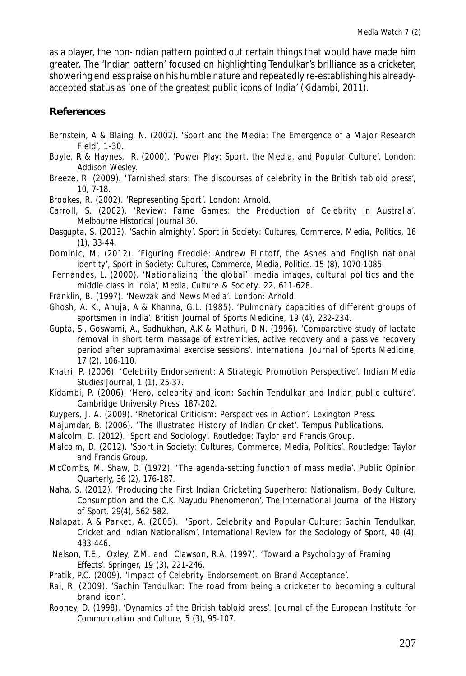as a player, the non-Indian pattern pointed out certain things that would have made him greater. The 'Indian pattern' focused on highlighting Tendulkar's brilliance as a cricketer, showering endless praise on his humble nature and repeatedly re-establishing his alreadyaccepted status as 'one of the greatest public icons of India' (Kidambi, 2011).

### **References**

- Bernstein, A & Blaing, N. (2002). 'Sport and the Media: The Emergence of a Major Research Field', 1-30.
- Boyle, R & Haynes, R. (2000). 'Power Play: Sport, the Media, and Popular Culture'. *London: Addison Wesley.*
- Breeze, R. (2009). 'Tarnished stars: The discourses of celebrity in the British tabloid press', 10, 7-18.
- Brookes, R. (2002). 'Representing Sport'. *London: Arnold.*
- Carroll, S. (2002). 'Review: Fame Games: the Production of Celebrity in Australia'. *Melbourne Historical Journal 30.*
- Dasgupta, S. (2013). 'Sachin almighty'. *Sport in Society: Cultures, Commerce, Media, Politics,* 16 (1), 33-44.
- Dominic, M. (2012). 'Figuring Freddie: Andrew Flintoff, the Ashes and English national identity'*, Sport in Society: Cultures, Commerce, Media, Politics.* 15 (8), 1070-1085.
- Fernandes, L. (2000). 'Nationalizing `the global': media images, cultural politics and the middle class in India', *Media, Culture & Society*. 22, 611-628.
- Franklin, B. (1997). 'Newzak and News Media'. *London: Arnold.*
- Ghosh, A. K., Ahuja, A & Khanna, G.L. (1985). 'Pulmonary capacities of different groups of sportsmen in India'. *British Journal of Sports Medicine,* 19 (4), 232-234.
- Gupta, S., Goswami, A., Sadhukhan, A.K & Mathuri, D.N. (1996). 'Comparative study of lactate removal in short term massage of extremities, active recovery and a passive recovery period after supramaximal exercise sessions'. *International Journal of Sports Medicine,* 17 (2), 106-110.
- Khatri, P. (2006). 'Celebrity Endorsement: A Strategic Promotion Perspective'. *Indian Media Studies Journal,* 1 (1), 25-37.
- Kidambi, P. (2006). 'Hero, celebrity and icon: Sachin Tendulkar and Indian public culture'. *Cambridge University Press,* 187-202.
- Kuypers, J. A. (2009). 'Rhetorical Criticism: Perspectives in Action'. *Lexington Press.*
- Majumdar, B. (2006). 'The Illustrated History of Indian Cricket'. *Tempus Publications*.
- Malcolm, D. (2012). 'Sport and Sociology'. *Routledge: Taylor and Francis Group*.
- Malcolm, D. (2012). 'Sport in Society: Cultures, Commerce, Media, Politics'. *Routledge: Taylor and Francis Group.*
- McCombs, M. Shaw, D. (1972). 'The agenda-setting function of mass media'. *Public Opinion Quarterly,* 36 (2), 176-187.
- Naha, S. (2012). 'Producing the First Indian Cricketing Superhero: Nationalism, Body Culture, Consumption and the C.K. Nayudu Phenomenon', *The International Journal of the History of Sport*. 29(4), 562-582.
- Nalapat, A & Parket, A. (2005). 'Sport, Celebrity and Popular Culture: Sachin Tendulkar, Cricket and Indian Nationalism'. *International Review for the Sociology of Sport,* 40 (4). 433-446.
- Nelson, T.E., Oxley, Z.M. and Clawson, R.A. (1997). 'Toward a Psychology of Framing Effects'. *Springer,* 19 (3), 221-246.
- Pratik, P.C. (2009). 'Impact of Celebrity Endorsement on Brand Acceptance'.
- Rai, R. (2009). 'Sachin Tendulkar: The road from being a cricketer to becoming a cultural brand icon'.
- Rooney, D. (1998). 'Dynamics of the British tabloid press'. *Journal of the European Institute for Communication and Culture,* 5 (3), 95-107.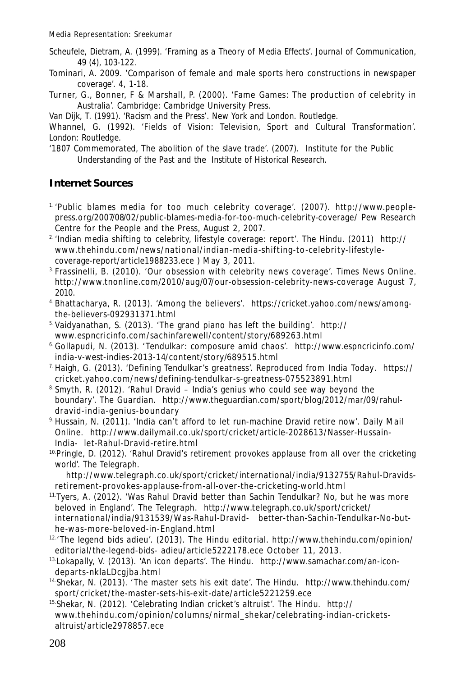- Scheufele, Dietram, A. (1999). 'Framing as a Theory of Media Effects'. *Journal of Communication*, 49 (4), 103-122.
- Tominari, A. 2009. 'Comparison of female and male sports hero constructions in newspaper coverage'. 4, 1-18.
- Turner, G., Bonner, F & Marshall, P. (2000). 'Fame Games: The production of celebrity in Australia'. *Cambridge: Cambridge University Press.*

Van Dijk, T. (1991). '*Racism and the Press'*. *New York and London. Routledge.*

Whannel, G. (1992). 'Fields of Vision: Television, Sport and Cultural Transformation'. *London: Routledge.*

'1807 Commemorated, The abolition of the slave trade'. (2007). *Institute for the Public Understanding of the Past and the Institute of Historical Research.*

### **Internet Sources**

- 1. 'Public blames media for too much celebrity coverage'. (2007). http://www.peoplepress.org/2007/08/02/public-blames-media-for-too-much-celebrity-coverage/ Pew Research Centre for the People and the Press, August 2, 2007.
- 2. 'Indian media shifting to celebrity, lifestyle coverage: report'. *The Hindu*. (2011) http:// www.thehindu.com/news/national/indian-media-shifting-to-celebrity-lifestylecoverage-report/article1988233.ece ) May 3, 2011.
- 3. Frassinelli, B. (2010). 'Our obsession with celebrity news coverage'. *Times News Online*. http://www.tnonline.com/2010/aug/07/our-obsession-celebrity-news-coverage August 7, 2010.
- 4. Bhattacharya, R. (2013). 'Among the believers'. https://cricket.yahoo.com/news/amongthe-believers-092931371.html
- 5. Vaidyanathan, S. (2013). 'The grand piano has left the building'. http:// www.espncricinfo.com/sachinfarewell/content/story/689263.html
- 6.Gollapudi, N. (2013). 'Tendulkar: composure amid chaos'. http://www.espncricinfo.com/ india-v-west-indies-2013-14/content/story/689515.html
- 7.Haigh, G. (2013). 'Defining Tendulkar's greatness'. Reproduced from *India Today*. https:// cricket.yahoo.com/news/defining-tendulkar-s-greatness-075523891.html
- $8.$  Smyth, R. (2012). 'Rahul Dravid India's genius who could see way beyond the boundary'. *The Guardian.* http://www.theguardian.com/sport/blog/2012/mar/09/rahuldravid-india-genius-boundary
- 9.Hussain, N. (2011). 'India can't afford to let run-machine Dravid retire now'. *Daily Mail Online.* http://www.dailymail.co.uk/sport/cricket/article-2028613/Nasser-Hussain-India- let-Rahul-Dravid-retire.html
- <sup>10.</sup>Pringle, D. (2012). 'Rahul Dravid's retirement provokes applause from all over the cricketing world'. *The Telegraph.*

 http://www.telegraph.co.uk/sport/cricket/international/india/9132755/Rahul-Dravidsretirement-provokes-applause-from-all-over-the-cricketing-world.html

- 11.Tyers, A. (2012). 'Was Rahul Dravid better than Sachin Tendulkar? No, but he was more beloved in England'. *The Telegraph*. http://www.telegraph.co.uk/sport/cricket/ international/india/9131539/Was-Rahul-Dravid- better-than-Sachin-Tendulkar-No-buthe-was-more-beloved-in-England.html
- 12.'The legend bids adieu'. (2013). *The Hindu* editorial. http://www.thehindu.com/opinion/ editorial/the-legend-bids- adieu/article5222178.ece October 11, 2013.
- 13.Lokapally, V. (2013). 'An icon departs'. *The Hindu.* http://www.samachar.com/an-icondeparts-nklaLDcgjba.html
- 14.Shekar, N. (2013). 'The master sets his exit date'. *The Hindu.* http://www.thehindu.com/ sport/cricket/the-master-sets-his-exit-date/article5221259.ece
- 15.Shekar, N. (2012). 'Celebrating Indian cricket's altruist'. *The Hindu*. http:// www.thehindu.com/opinion/columns/nirmal\_shekar/celebrating-indian-cricketsaltruist/article2978857.ece